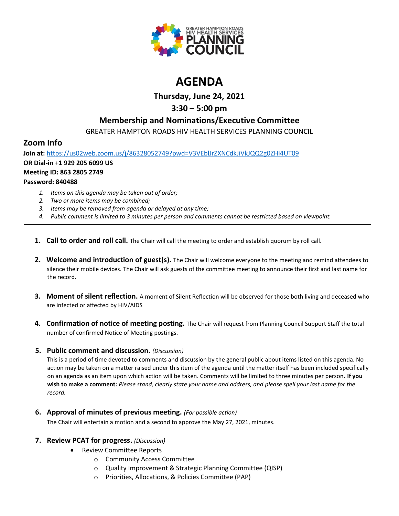

# **AGENDA**

**Thursday, June 24, 2021**

# **3:30 – 5:00 pm**

## **Membership and Nominations/Executive Committee**

GREATER HAMPTON ROADS HIV HEALTH SERVICES PLANNING COUNCIL

## **Zoom Info**

**Join at:** <https://us02web.zoom.us/j/86328052749?pwd=V3VEblJrZXNCdkJiVkJQQ2g0ZHI4UT09> **OR Dial-in** +**1 929 205 6099 US Meeting ID: 863 2805 2749 Password: 840488**

- *1. Items on this agenda may be taken out of order;*
- *2. Two or more items may be combined;*
- *3. Items may be removed from agenda or delayed at any time;*
- *4. Public comment is limited to 3 minutes per person and comments cannot be restricted based on viewpoint.*
- **1. Call to order and roll call.** The Chair will call the meeting to order and establish quorum by roll call.
- **2. Welcome and introduction of guest(s).** The Chair will welcome everyone to the meeting and remind attendees to silence their mobile devices. The Chair will ask guests of the committee meeting to announce their first and last name for the record.
- **3. Moment of silent reflection.** A moment of Silent Reflection will be observed for those both living and deceased who are infected or affected by HIV/AIDS
- **4. Confirmation of notice of meeting posting.** The Chair will request from Planning Council Support Staff the total number of confirmed Notice of Meeting postings.

## **5. Public comment and discussion.** *(Discussion)*

This is a period of time devoted to comments and discussion by the general public about items listed on this agenda. No action may be taken on a matter raised under this item of the agenda until the matter itself has been included specifically on an agenda as an item upon which action will be taken. Comments will be limited to three minutes per person**. If you wish to make a comment:** *Please stand, clearly state your name and address, and please spell your last name for the record.*

**6. Approval of minutes of previous meeting.** *(For possible action)*

The Chair will entertain a motion and a second to approve the May 27, 2021, minutes.

## **7. Review PCAT for progress.** *(Discussion)*

- Review Committee Reports
	- o Community Access Committee
	- o Quality Improvement & Strategic Planning Committee (QISP)
	- o Priorities, Allocations, & Policies Committee (PAP)